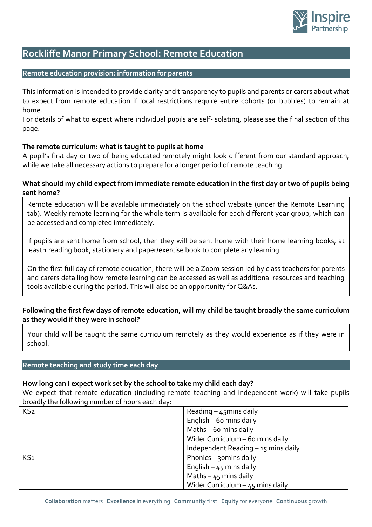

# **Rockliffe Manor Primary School: Remote Education**

## **Remote education provision: information for parents**

This information is intended to provide clarity and transparency to pupils and parents or carers about what to expect from remote education if local restrictions require entire cohorts (or bubbles) to remain at home.

For details of what to expect where individual pupils are self-isolating, please see the final section of this page.

## **The remote curriculum: what is taught to pupils at home**

A pupil's first day or two of being educated remotely might look different from our standard approach, while we take all necessary actions to prepare for a longer period of remote teaching.

## **What should my child expect from immediate remote education in the first day or two of pupils being sent home?**

Remote education will be available immediately on the school website (under the Remote Learning tab). Weekly remote learning for the whole term is available for each different year group, which can be accessed and completed immediately.

If pupils are sent home from school, then they will be sent home with their home learning books, at least 1 reading book, stationery and paper/exercise book to complete any learning.

On the first full day of remote education, there will be a Zoom session led by class teachers for parents and carers detailing how remote learning can be accessed as well as additional resources and teaching tools available during the period. This will also be an opportunity for Q&As.

# **Following the first few days of remote education, will my child be taught broadly the same curriculum as they would if they were in school?**

Your child will be taught the same curriculum remotely as they would experience as if they were in school.

## **Remote teaching and study time each day**

## **How long can I expect work set by the school to take my child each day?**

We expect that remote education (including remote teaching and independent work) will take pupils broadly the following number of hours each day:

| KS <sub>2</sub> | Reading $-$ 45 mins daily           |
|-----------------|-------------------------------------|
|                 | English - 60 mins daily             |
|                 | Maths - 60 mins daily               |
|                 | Wider Curriculum - 60 mins daily    |
|                 | Independent Reading - 15 mins daily |
| KS <sub>1</sub> | Phonics - 30 mins daily             |
|                 | English $-45$ mins daily            |
|                 | Maths $-45$ mins daily              |
|                 | Wider Curriculum $-45$ mins daily   |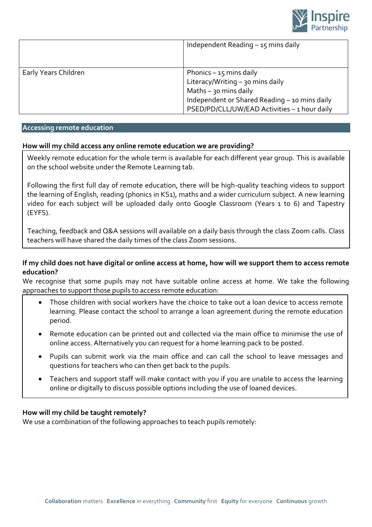

|                      | Independent Reading $-15$ mins daily                                                                                                                                                     |
|----------------------|------------------------------------------------------------------------------------------------------------------------------------------------------------------------------------------|
| Early Years Children | Phonics $-15$ mins daily<br>Literacy/Writing - 30 mins daily<br>Maths $-$ 30 mins daily<br>Independent or Shared Reading - 10 mins daily<br>PSED/PD/CLL/UW/EAD Activities - 1 hour daily |

#### **Accessing remote education**

## **How will my child access any online remote education we are providing?**

Weekly remote education for the whole term is available for each different year group. This is available on the school website under the Remote Learning tab.

Following the first full day of remote education, there will be high-quality teaching videos to support the learning of English, reading (phonics in KS1), maths and a wider curriculum subject. A new learning video for each subject will be uploaded daily onto Google Classroom (Years 1 to 6) and Tapestry (EYFS).

Teaching, feedback and Q&A sessions will available on a daily basis through the class Zoom calls. Class teachers will have shared the daily times of the class Zoom sessions.

## **If my child does not have digital or online access at home, how will we support them to access remote education?**

We recognise that some pupils may not have suitable online access at home. We take the following approaches to support those pupils to access remote education:

- Those children with social workers have the choice to take out a loan device to access remote learning. Please contact the school to arrange a loan agreement during the remote education period.
- Remote education can be printed out and collected via the main office to minimise the use of online access. Alternatively you can request for a home learning pack to be posted.
- Pupils can submit work via the main office and can call the school to leave messages and questions for teachers who can then get back to the pupils.
- Teachers and support staff will make contact with you if you are unable to access the learning online or digitally to discuss possible options including the use of loaned devices.

## **How will my child be taught remotely?**

We use a combination of the following approaches to teach pupils remotely: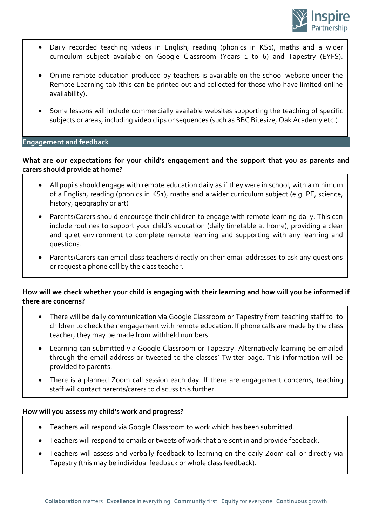

- Daily recorded teaching videos in English, reading (phonics in KS1), maths and a wider curriculum subject available on Google Classroom (Years 1 to 6) and Tapestry (EYFS).
- Online remote education produced by teachers is available on the school website under the Remote Learning tab (this can be printed out and collected for those who have limited online availability).
- Some lessons will include commercially available websites supporting the teaching of specific subjects or areas, including video clips or sequences (such as BBC Bitesize, Oak Academy etc.).

## **Engagement and feedback**

# **What are our expectations for your child's engagement and the support that you as parents and carers should provide at home?**

- All pupils should engage with remote education daily as if they were in school, with a minimum of a English, reading (phonics in KS1), maths and a wider curriculum subject (e.g. PE, science, history, geography or art)
- Parents/Carers should encourage their children to engage with remote learning daily. This can include routines to support your child's education (daily timetable at home), providing a clear and quiet environment to complete remote learning and supporting with any learning and questions.
- Parents/Carers can email class teachers directly on their email addresses to ask any questions or request a phone call by the class teacher.

# **How will we check whether your child is engaging with their learning and how will you be informed if there are concerns?**

- There will be daily communication via Google Classroom or Tapestry from teaching staff to to children to check their engagement with remote education. If phone calls are made by the class teacher, they may be made from withheld numbers.
- Learning can submitted via Google Classroom or Tapestry. Alternatively learning be emailed through the email address or tweeted to the classes' Twitter page. This information will be provided to parents.
- There is a planned Zoom call session each day. If there are engagement concerns, teaching staff will contact parents/carers to discuss this further.

## **How will you assess my child's work and progress?**

- Teachers will respond via Google Classroom to work which has been submitted.
- Teachers will respond to emails or tweets of work that are sent in and provide feedback.
- Teachers will assess and verbally feedback to learning on the daily Zoom call or directly via Tapestry (this may be individual feedback or whole class feedback).